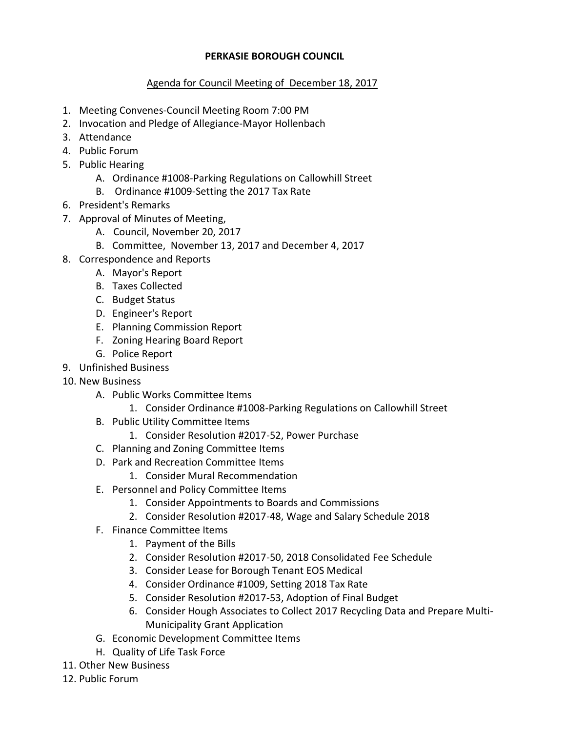## **PERKASIE BOROUGH COUNCIL**

## Agenda for Council Meeting of December 18, 2017

- 1. Meeting Convenes-Council Meeting Room 7:00 PM
- 2. Invocation and Pledge of Allegiance-Mayor Hollenbach
- 3. Attendance
- 4. Public Forum
- 5. Public Hearing
	- A. Ordinance #1008-Parking Regulations on Callowhill Street
	- B. Ordinance #1009-Setting the 2017 Tax Rate
- 6. President's Remarks
- 7. Approval of Minutes of Meeting,
	- A. Council, November 20, 2017
	- B. Committee, November 13, 2017 and December 4, 2017
- 8. Correspondence and Reports
	- A. Mayor's Report
	- B. Taxes Collected
	- C. Budget Status
	- D. Engineer's Report
	- E. Planning Commission Report
	- F. Zoning Hearing Board Report
	- G. Police Report
- 9. Unfinished Business
- 10. New Business
	- A. Public Works Committee Items
		- 1. Consider Ordinance #1008-Parking Regulations on Callowhill Street
	- B. Public Utility Committee Items
		- 1. Consider Resolution #2017-52, Power Purchase
	- C. Planning and Zoning Committee Items
	- D. Park and Recreation Committee Items
		- 1. Consider Mural Recommendation
	- E. Personnel and Policy Committee Items
		- 1. Consider Appointments to Boards and Commissions
		- 2. Consider Resolution #2017-48, Wage and Salary Schedule 2018
	- F. Finance Committee Items
		- 1. Payment of the Bills
		- 2. Consider Resolution #2017-50, 2018 Consolidated Fee Schedule
		- 3. Consider Lease for Borough Tenant EOS Medical
		- 4. Consider Ordinance #1009, Setting 2018 Tax Rate
		- 5. Consider Resolution #2017-53, Adoption of Final Budget
		- 6. Consider Hough Associates to Collect 2017 Recycling Data and Prepare Multi-Municipality Grant Application
	- G. Economic Development Committee Items
	- H. Quality of Life Task Force
- 11. Other New Business
- 12. Public Forum